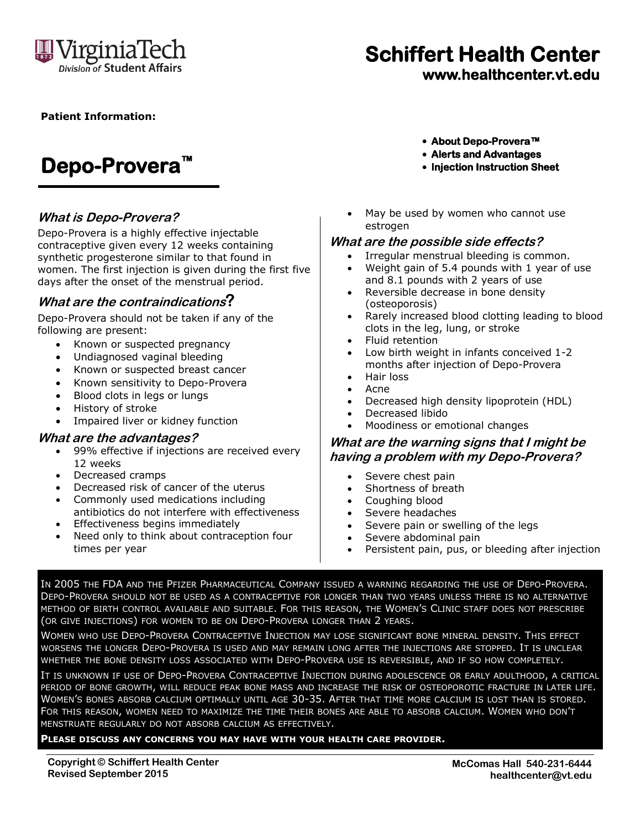

# **Schiffert Health Center**

**www.healthcenter.vt.edu**

#### **Patient Information:**

## **Depo-Provera™**

#### **What is Depo-Provera?**

Depo-Provera is a highly effective injectable contraceptive given every 12 weeks containing synthetic progesterone similar to that found in women. The first injection is given during the first five days after the onset of the menstrual period.

#### **What are the contraindications?**

Depo-Provera should not be taken if any of the following are present:

- Known or suspected pregnancy
- Undiagnosed vaginal bleeding
- Known or suspected breast cancer
- Known sensitivity to Depo-Provera
- Blood clots in legs or lungs
- History of stroke
- Impaired liver or kidney function

#### **What are the advantages?**

- 99% effective if injections are received every 12 weeks
- Decreased cramps
- Decreased risk of cancer of the uterus
- Commonly used medications including antibiotics do not interfere with effectiveness
- **•** Effectiveness begins immediately
- Need only to think about contraception four times per year
- **About Depo-Provera™**
- **Alerts and Advantages**
- **Injection Instruction Sheet**
- May be used by women who cannot use estrogen

#### **What are the possible side effects?**

- Irregular menstrual bleeding is common.
- Weight gain of 5.4 pounds with 1 year of use and 8.1 pounds with 2 years of use
- Reversible decrease in bone density (osteoporosis)
- Rarely increased blood clotting leading to blood clots in the leg, lung, or stroke
- Fluid retention
- Low birth weight in infants conceived 1-2 months after injection of Depo-Provera
- Hair loss
- Acne
- Decreased high density lipoprotein (HDL)
- Decreased libido
- Moodiness or emotional changes

#### **What are the warning signs that I might be having a problem with my Depo-Provera?**

- Severe chest pain
- Shortness of breath
- Coughing blood
- Severe headaches
- Severe pain or swelling of the legs
- Severe abdominal pain
- Persistent pain, pus, or bleeding after injection

IN 2005 THE FDA AND THE PFIZER PHARMACEUTICAL COMPANY ISSUED A WARNING REGARDING THE USE OF DEPO-PROVERA. DEPO-PROVERA SHOULD NOT BE USED AS A CONTRACEPTIVE FOR LONGER THAN TWO YEARS UNLESS THERE IS NO ALTERNATIVE METHOD OF BIRTH CONTROL AVAILABLE AND SUITABLE. FOR THIS REASON, THE WOMEN'S CLINIC STAFF DOES NOT PRESCRIBE (OR GIVE INJECTIONS) FOR WOMEN TO BE ON DEPO-PROVERA LONGER THAN 2 YEARS.

WOMEN WHO USE DEPO-PROVERA CONTRACEPTIVE INJECTION MAY LOSE SIGNIFICANT BONE MINERAL DENSITY. THIS EFFECT WORSENS THE LONGER DEPO-PROVERA IS USED AND MAY REMAIN LONG AFTER THE INJECTIONS ARE STOPPED. IT IS UNCLEAR WHETHER THE BONE DENSITY LOSS ASSOCIATED WITH DEPO-PROVERA USE IS REVERSIBLE, AND IF SO HOW COMPLETELY.

IT IS UNKNOWN IF USE OF DEPO-PROVERA CONTRACEPTIVE INJECTION DURING ADOLESCENCE OR EARLY ADULTHOOD, A CRITICAL PERIOD OF BONE GROWTH, WILL REDUCE PEAK BONE MASS AND INCREASE THE RISK OF OSTEOPOROTIC FRACTURE IN LATER LIFE. WOMEN'S BONES ABSORB CALCIUM OPTIMALLY UNTIL AGE 30-35. AFTER THAT TIME MORE CALCIUM IS LOST THAN IS STORED. FOR THIS REASON, WOMEN NEED TO MAXIMIZE THE TIME THEIR BONES ARE ABLE TO ABSORB CALCIUM. WOMEN WHO DON'T MENSTRUATE REGULARLY DO NOT ABSORB CALCIUM AS EFFECTIVELY.

#### **PLEASE DISCUSS ANY CONCERNS YOU MAY HAVE WITH YOUR HEALTH CARE PROVIDER.**